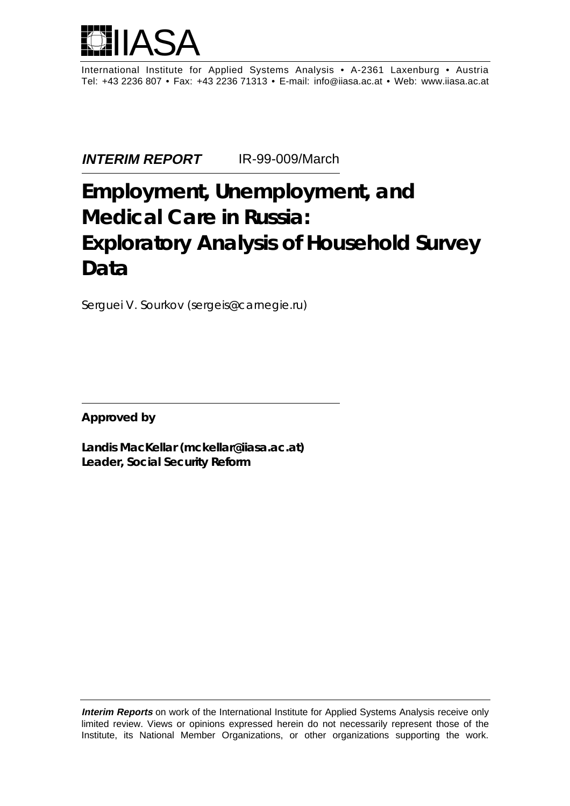

International Institute for Applied Systems Analysis • A-2361 Laxenburg • Austria Tel: +43 2236 807 • Fax: +43 2236 71313 • E-mail: info@iiasa.ac.at • Web: www.iiasa.ac.at

**INTERIM REPORT** IR-99-009/March

# **Employment, Unemployment, and Medical Care in Russia: Exploratory Analysis of Household Survey Data**

*Serguei V. Sourkov (sergeis@carnegie.ru)*

**Approved by**

**Landis MacKellar (mckellar@iiasa.ac.at) Leader,** *Social Security Reform*

**Interim Reports** on work of the International Institute for Applied Systems Analysis receive only limited review. Views or opinions expressed herein do not necessarily represent those of the Institute, its National Member Organizations, or other organizations supporting the work.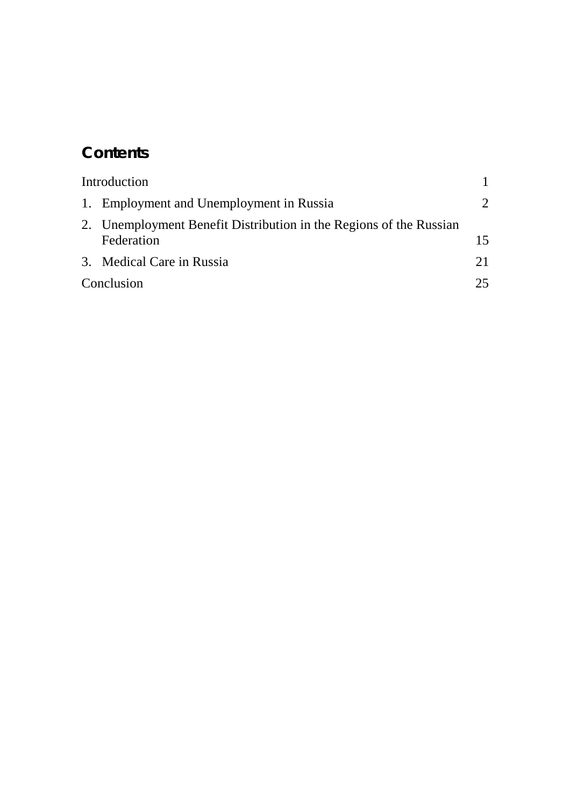## **Contents**

| Introduction |                                                                                  |                             |
|--------------|----------------------------------------------------------------------------------|-----------------------------|
|              | 1. Employment and Unemployment in Russia                                         | $\mathcal{D}_{\mathcal{L}}$ |
|              | 2. Unemployment Benefit Distribution in the Regions of the Russian<br>Federation | 15                          |
|              | 3. Medical Care in Russia                                                        | 21                          |
|              | Conclusion                                                                       | 25                          |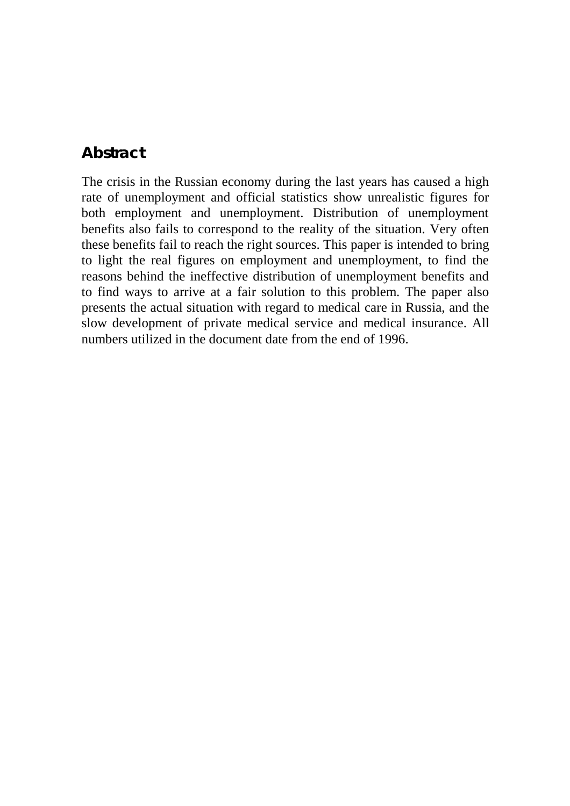### **Abstract**

The crisis in the Russian economy during the last years has caused a high rate of unemployment and official statistics show unrealistic figures for both employment and unemployment. Distribution of unemployment benefits also fails to correspond to the reality of the situation. Very often these benefits fail to reach the right sources. This paper is intended to bring to light the real figures on employment and unemployment, to find the reasons behind the ineffective distribution of unemployment benefits and to find ways to arrive at a fair solution to this problem. The paper also presents the actual situation with regard to medical care in Russia, and the slow development of private medical service and medical insurance. All numbers utilized in the document date from the end of 1996.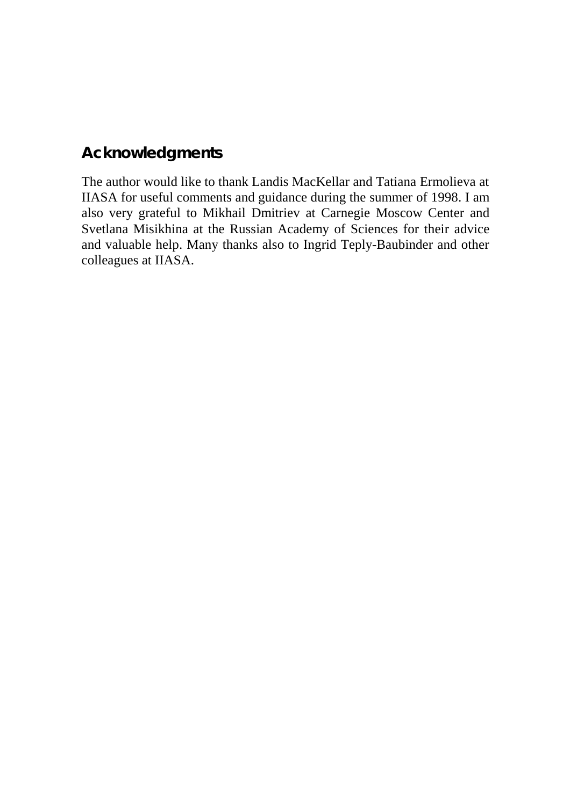## **Acknowledgments**

The author would like to thank Landis MacKellar and Tatiana Ermolieva at IIASA for useful comments and guidance during the summer of 1998. I am also very grateful to Mikhail Dmitriev at Carnegie Moscow Center and Svetlana Misikhina at the Russian Academy of Sciences for their advice and valuable help. Many thanks also to Ingrid Teply-Baubinder and other colleagues at IIASA.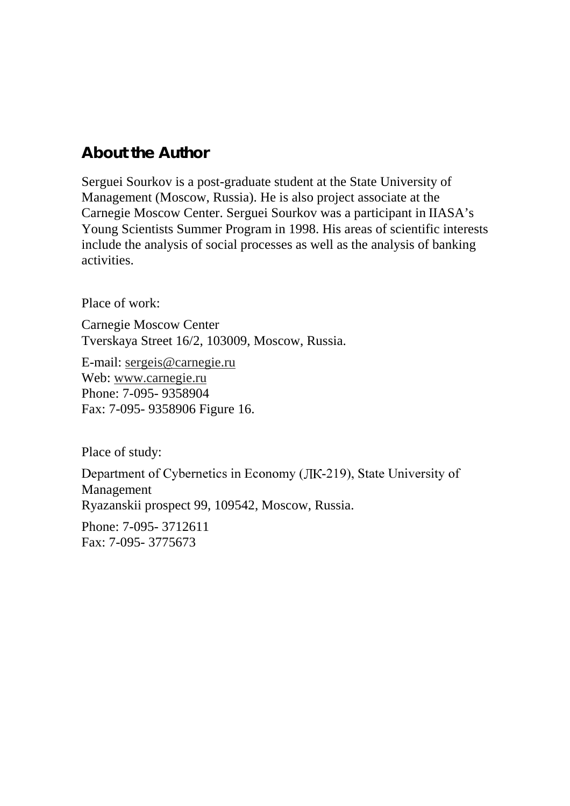### **About the Author**

Serguei Sourkov is a post-graduate student at the State University of Management (Moscow, Russia). He is also project associate at the Carnegie Moscow Center. Serguei Sourkov was a participant in IIASA's Young Scientists Summer Program in 1998. His areas of scientific interests include the analysis of social processes as well as the analysis of banking activities.

Place of work:

Carnegie Moscow Center Tverskaya Street 16/2, 103009, Moscow, Russia.

E-mail: sergeis@carnegie.ru Web: www.carnegie.ru Phone: 7-095- 9358904 Fax: 7-095- 9358906 Figure 16.

Place of study:

Department of Cybernetics in Economy (JIK-219), State University of Management Ryazanskii prospect 99, 109542, Moscow, Russia.

Phone: 7-095- 3712611 Fax: 7-095- 3775673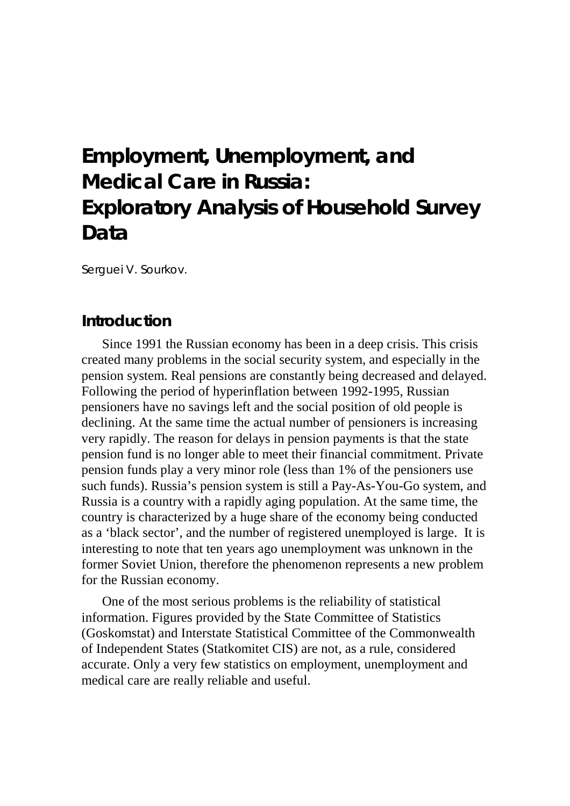# **Employment, Unemployment, and Medical Care in Russia: Exploratory Analysis of Household Survey Data**

*Serguei V. Sourkov.*

#### **Introduction**

Since 1991 the Russian economy has been in a deep crisis. This crisis created many problems in the social security system, and especially in the pension system. Real pensions are constantly being decreased and delayed. Following the period of hyperinflation between 1992-1995, Russian pensioners have no savings left and the social position of old people is declining. At the same time the actual number of pensioners is increasing very rapidly. The reason for delays in pension payments is that the state pension fund is no longer able to meet their financial commitment. Private pension funds play a very minor role (less than 1% of the pensioners use such funds). Russia's pension system is still a Pay-As-You-Go system, and Russia is a country with a rapidly aging population. At the same time, the country is characterized by a huge share of the economy being conducted as a 'black sector', and the number of registered unemployed is large. It is interesting to note that ten years ago unemployment was unknown in the former Soviet Union, therefore the phenomenon represents a new problem for the Russian economy.

One of the most serious problems is the reliability of statistical information. Figures provided by the State Committee of Statistics (Goskomstat) and Interstate Statistical Committee of the Commonwealth of Independent States (Statkomitet CIS) are not, as a rule, considered accurate. Only a very few statistics on employment, unemployment and medical care are really reliable and useful.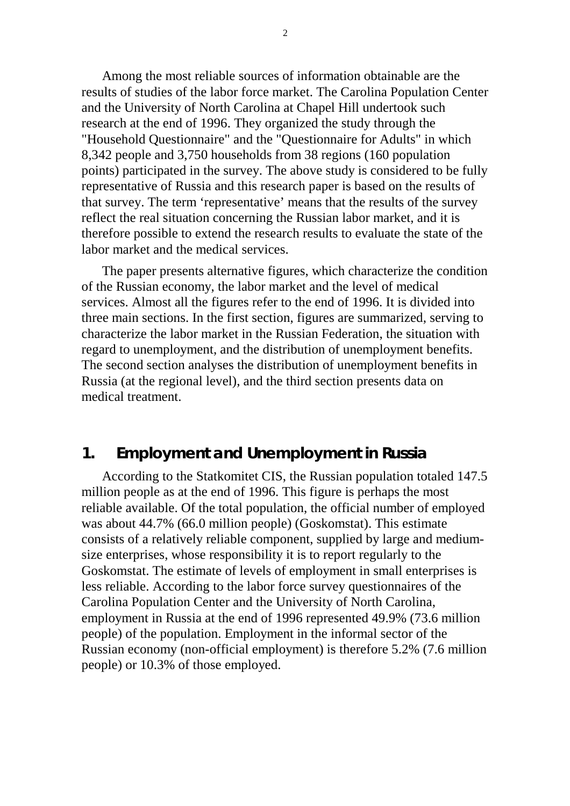Among the most reliable sources of information obtainable are the results of studies of the labor force market. The Carolina Population Center and the University of North Carolina at Chapel Hill undertook such research at the end of 1996. They organized the study through the "Household Questionnaire" and the "Questionnaire for Adults" in which 8,342 people and 3,750 households from 38 regions (160 population points) participated in the survey. The above study is considered to be fully representative of Russia and this research paper is based on the results of that survey. The term 'representative' means that the results of the survey reflect the real situation concerning the Russian labor market, and it is therefore possible to extend the research results to evaluate the state of the labor market and the medical services.

The paper presents alternative figures, which characterize the condition of the Russian economy, the labor market and the level of medical services. Almost all the figures refer to the end of 1996. It is divided into three main sections. In the first section, figures are summarized, serving to characterize the labor market in the Russian Federation, the situation with regard to unemployment, and the distribution of unemployment benefits. The second section analyses the distribution of unemployment benefits in Russia (at the regional level), and the third section presents data on medical treatment.

#### **1. Employment and Unemployment in Russia**

According to the Statkomitet CIS, the Russian population totaled 147.5 million people as at the end of 1996. This figure is perhaps the most reliable available. Of the total population, the official number of employed was about 44.7% (66.0 million people) (Goskomstat). This estimate consists of a relatively reliable component, supplied by large and mediumsize enterprises, whose responsibility it is to report regularly to the Goskomstat. The estimate of levels of employment in small enterprises is less reliable. According to the labor force survey questionnaires of the Carolina Population Center and the University of North Carolina, employment in Russia at the end of 1996 represented 49.9% (73.6 million people) of the population. Employment in the informal sector of the Russian economy (non-official employment) is therefore 5.2% (7.6 million people) or 10.3% of those employed.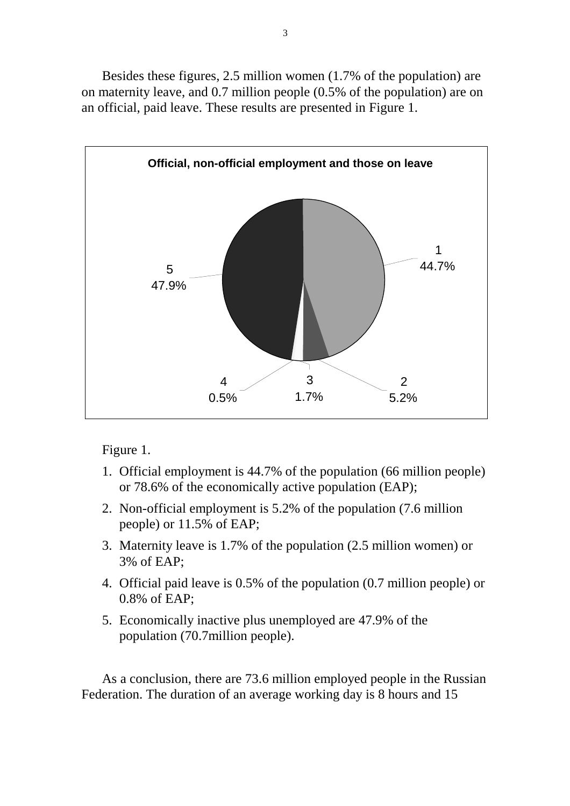Besides these figures, 2.5 million women (1.7% of the population) are on maternity leave, and 0.7 million people (0.5% of the population) are on an official, paid leave. These results are presented in Figure 1.



#### Figure 1.

- 1. Official employment is 44.7% of the population (66 million people) or 78.6% of the economically active population (EAP);
- 2. Non-official employment is 5.2% of the population (7.6 million people) or 11.5% of EAP;
- 3. Maternity leave is 1.7% of the population (2.5 million women) or 3% of EAP;
- 4. Official paid leave is 0.5% of the population (0.7 million people) or 0.8% of EAP;
- 5. Economically inactive plus unemployed are 47.9% of the population (70.7million people).

As a conclusion, there are 73.6 million employed people in the Russian Federation. The duration of an average working day is 8 hours and 15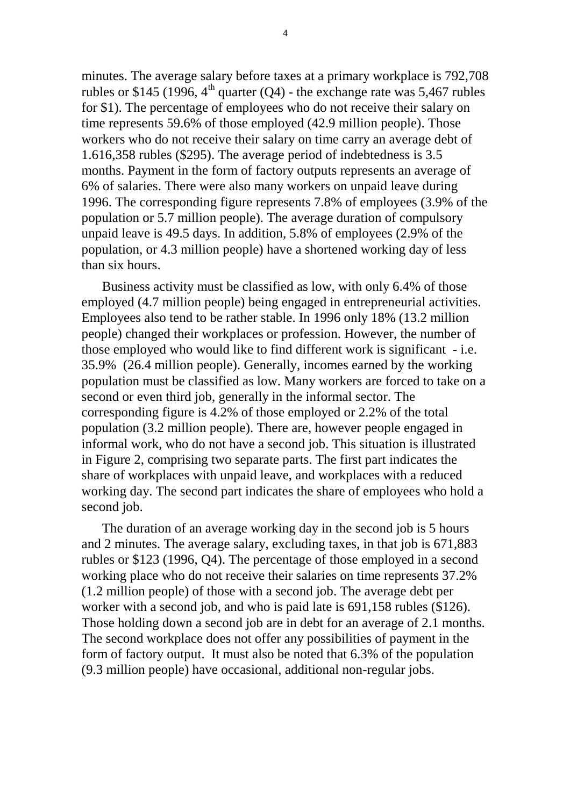minutes. The average salary before taxes at a primary workplace is 792,708 rubles or \$145 (1996, 4<sup>th</sup> quarter (Q4) - the exchange rate was 5,467 rubles for \$1). The percentage of employees who do not receive their salary on time represents 59.6% of those employed (42.9 million people). Those workers who do not receive their salary on time carry an average debt of 1.616,358 rubles (\$295). The average period of indebtedness is 3.5 months. Payment in the form of factory outputs represents an average of 6% of salaries. There were also many workers on unpaid leave during 1996. The corresponding figure represents 7.8% of employees (3.9% of the population or 5.7 million people). The average duration of compulsory unpaid leave is 49.5 days. In addition, 5.8% of employees (2.9% of the population, or 4.3 million people) have a shortened working day of less than six hours.

Business activity must be classified as low, with only 6.4% of those employed (4.7 million people) being engaged in entrepreneurial activities. Employees also tend to be rather stable. In 1996 only 18% (13.2 million people) changed their workplaces or profession. However, the number of those employed who would like to find different work is significant - i.e. 35.9% (26.4 million people). Generally, incomes earned by the working population must be classified as low. Many workers are forced to take on a second or even third job, generally in the informal sector. The corresponding figure is 4.2% of those employed or 2.2% of the total population (3.2 million people). There are, however people engaged in informal work, who do not have a second job. This situation is illustrated in Figure 2, comprising two separate parts. The first part indicates the share of workplaces with unpaid leave, and workplaces with a reduced working day. The second part indicates the share of employees who hold a second job.

The duration of an average working day in the second job is 5 hours and 2 minutes. The average salary, excluding taxes, in that job is 671,883 rubles or \$123 (1996, Q4). The percentage of those employed in a second working place who do not receive their salaries on time represents 37.2% (1.2 million people) of those with a second job. The average debt per worker with a second job, and who is paid late is 691,158 rubles (\$126). Those holding down a second job are in debt for an average of 2.1 months. The second workplace does not offer any possibilities of payment in the form of factory output. It must also be noted that 6.3% of the population (9.3 million people) have occasional, additional non-regular jobs.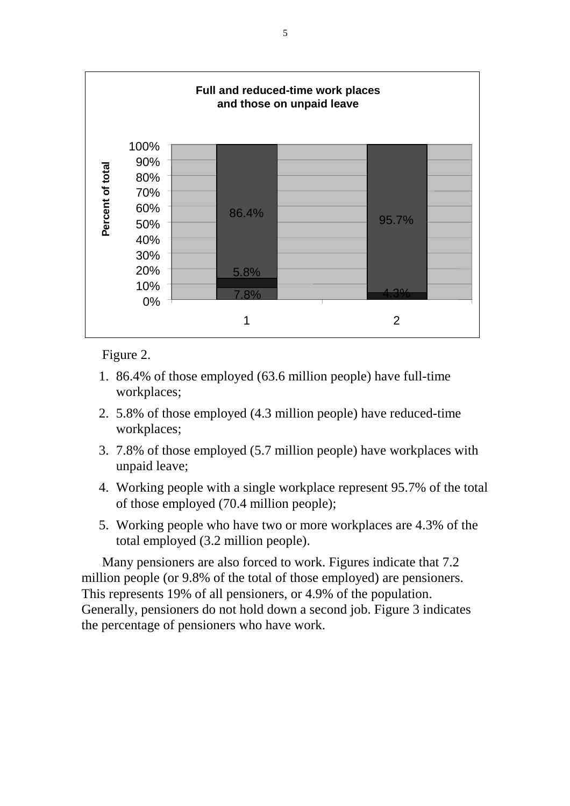

Figure 2.

- 1. 86.4% of those employed (63.6 million people) have full-time workplaces;
- 2. 5.8% of those employed (4.3 million people) have reduced-time workplaces;
- 3. 7.8% of those employed (5.7 million people) have workplaces with unpaid leave;
- 4. Working people with a single workplace represent 95.7% of the total of those employed (70.4 million people);
- 5. Working people who have two or more workplaces are 4.3% of the total employed (3.2 million people).

Many pensioners are also forced to work. Figures indicate that 7.2 million people (or 9.8% of the total of those employed) are pensioners. This represents 19% of all pensioners, or 4.9% of the population. Generally, pensioners do not hold down a second job. Figure 3 indicates the percentage of pensioners who have work.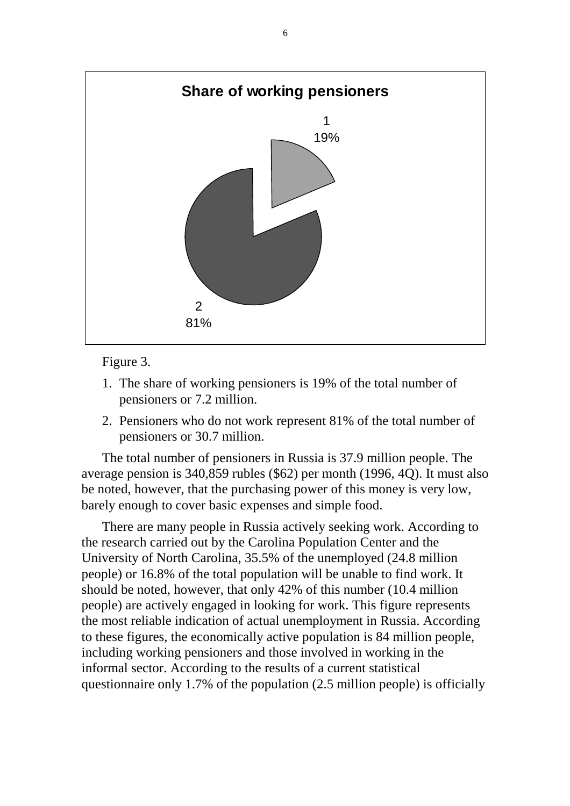

Figure 3.

- 1. The share of working pensioners is 19% of the total number of pensioners or 7.2 million.
- 2. Pensioners who do not work represent 81% of the total number of pensioners or 30.7 million.

The total number of pensioners in Russia is 37.9 million people. The average pension is 340,859 rubles (\$62) per month (1996, 4Q). It must also be noted, however, that the purchasing power of this money is very low, barely enough to cover basic expenses and simple food.

There are many people in Russia actively seeking work. According to the research carried out by the Carolina Population Center and the University of North Carolina, 35.5% of the unemployed (24.8 million people) or 16.8% of the total population will be unable to find work. It should be noted, however, that only 42% of this number (10.4 million people) are actively engaged in looking for work. This figure represents the most reliable indication of actual unemployment in Russia. According to these figures, the economically active population is 84 million people, including working pensioners and those involved in working in the informal sector. According to the results of a current statistical questionnaire only 1.7% of the population (2.5 million people) is officially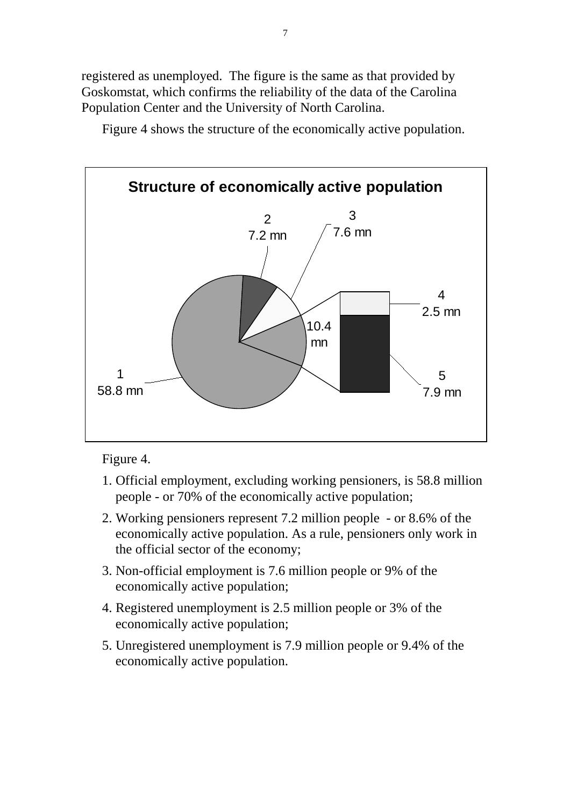registered as unemployed. The figure is the same as that provided by Goskomstat, which confirms the reliability of the data of the Carolina Population Center and the University of North Carolina.

Figure 4 shows the structure of the economically active population.



Figure 4.

- 1. Official employment, excluding working pensioners, is 58.8 million people - or 70% of the economically active population;
- 2. Working pensioners represent 7.2 million people or 8.6% of the economically active population. As a rule, pensioners only work in the official sector of the economy;
- 3. Non-official employment is 7.6 million people or 9% of the economically active population;
- 4. Registered unemployment is 2.5 million people or 3% of the economically active population;
- 5. Unregistered unemployment is 7.9 million people or 9.4% of the economically active population.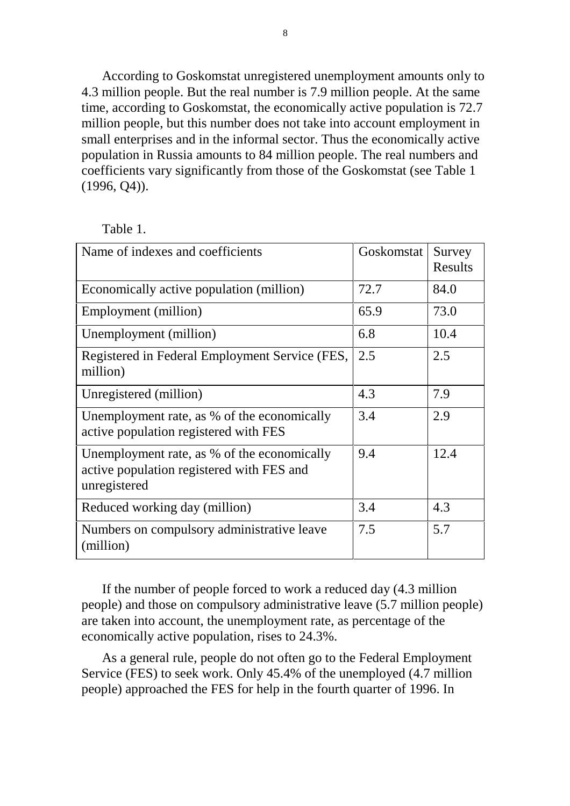According to Goskomstat unregistered unemployment amounts only to 4.3 million people. But the real number is 7.9 million people. At the same time, according to Goskomstat, the economically active population is 72.7 million people, but this number does not take into account employment in small enterprises and in the informal sector. Thus the economically active population in Russia amounts to 84 million people. The real numbers and coefficients vary significantly from those of the Goskomstat (see Table 1 (1996, Q4)).

Table 1.

| Name of indexes and coefficients                                                                         | Goskomstat | Survey<br>Results |
|----------------------------------------------------------------------------------------------------------|------------|-------------------|
| Economically active population (million)                                                                 | 72.7       | 84.0              |
| Employment (million)                                                                                     | 65.9       | 73.0              |
| Unemployment (million)                                                                                   | 6.8        | 10.4              |
| Registered in Federal Employment Service (FES,<br>million)                                               | 2.5        | 2.5               |
| Unregistered (million)                                                                                   | 4.3        | 7.9               |
| Unemployment rate, as % of the economically<br>active population registered with FES                     | 3.4        | 2.9               |
| Unemployment rate, as % of the economically<br>active population registered with FES and<br>unregistered | 9.4        | 12.4              |
| Reduced working day (million)                                                                            | 3.4        | 4.3               |
| Numbers on compulsory administrative leave<br>(million)                                                  | 7.5        | 5.7               |

If the number of people forced to work a reduced day (4.3 million people) and those on compulsory administrative leave (5.7 million people) are taken into account, the unemployment rate, as percentage of the economically active population, rises to 24.3%.

As a general rule, people do not often go to the Federal Employment Service (FES) to seek work. Only 45.4% of the unemployed (4.7 million people) approached the FES for help in the fourth quarter of 1996. In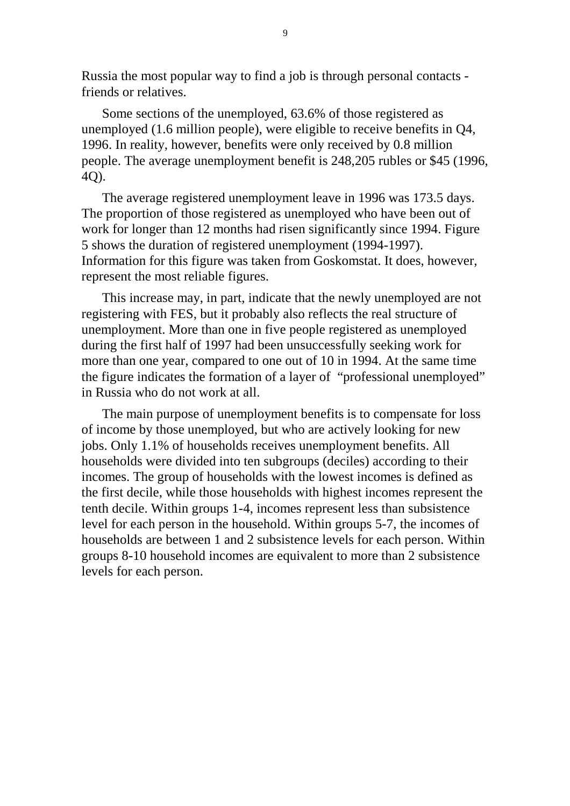Russia the most popular way to find a job is through personal contacts friends or relatives.

Some sections of the unemployed, 63.6% of those registered as unemployed (1.6 million people), were eligible to receive benefits in Q4, 1996. In reality, however, benefits were only received by 0.8 million people. The average unemployment benefit is 248,205 rubles or \$45 (1996, 4Q).

The average registered unemployment leave in 1996 was 173.5 days. The proportion of those registered as unemployed who have been out of work for longer than 12 months had risen significantly since 1994. Figure 5 shows the duration of registered unemployment (1994-1997). Information for this figure was taken from Goskomstat. It does, however, represent the most reliable figures.

This increase may, in part, indicate that the newly unemployed are not registering with FES, but it probably also reflects the real structure of unemployment. More than one in five people registered as unemployed during the first half of 1997 had been unsuccessfully seeking work for more than one year, compared to one out of 10 in 1994. At the same time the figure indicates the formation of a layer of "professional unemployed" in Russia who do not work at all.

The main purpose of unemployment benefits is to compensate for loss of income by those unemployed, but who are actively looking for new jobs. Only 1.1% of households receives unemployment benefits. All households were divided into ten subgroups (deciles) according to their incomes. The group of households with the lowest incomes is defined as the first decile, while those households with highest incomes represent the tenth decile. Within groups 1-4, incomes represent less than subsistence level for each person in the household. Within groups 5-7, the incomes of households are between 1 and 2 subsistence levels for each person. Within groups 8-10 household incomes are equivalent to more than 2 subsistence levels for each person.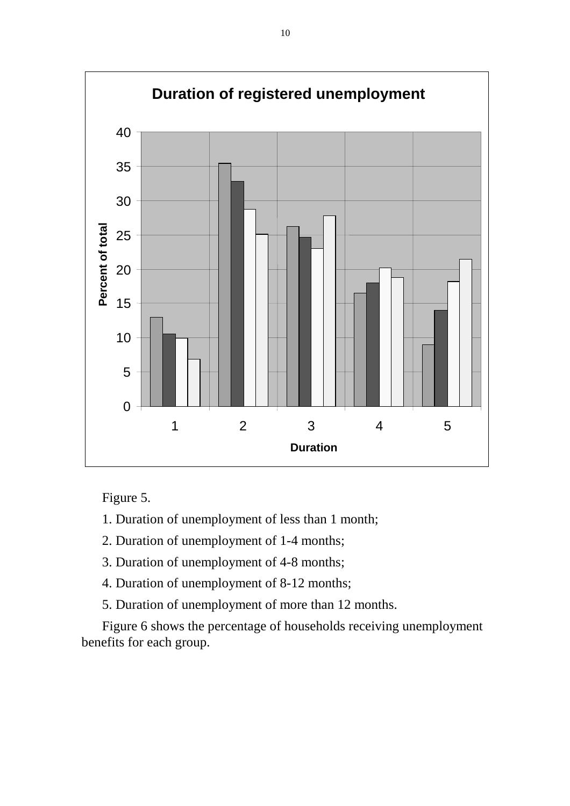

Figure 5.

- 1. Duration of unemployment of less than 1 month;
- 2. Duration of unemployment of 1-4 months;
- 3. Duration of unemployment of 4-8 months;
- 4. Duration of unemployment of 8-12 months;
- 5. Duration of unemployment of more than 12 months.

Figure 6 shows the percentage of households receiving unemployment benefits for each group.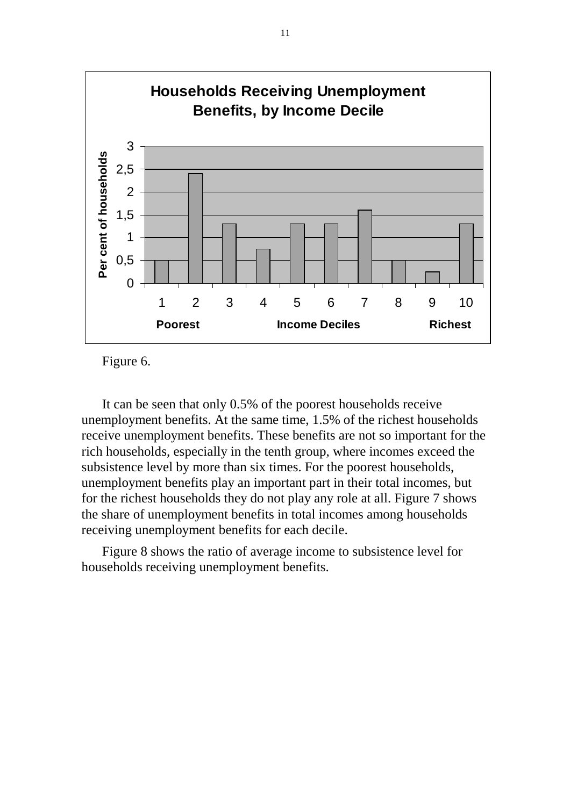

Figure 6.

It can be seen that only 0.5% of the poorest households receive unemployment benefits. At the same time, 1.5% of the richest households receive unemployment benefits. These benefits are not so important for the rich households, especially in the tenth group, where incomes exceed the subsistence level by more than six times. For the poorest households, unemployment benefits play an important part in their total incomes, but for the richest households they do not play any role at all. Figure 7 shows the share of unemployment benefits in total incomes among households receiving unemployment benefits for each decile.

Figure 8 shows the ratio of average income to subsistence level for households receiving unemployment benefits.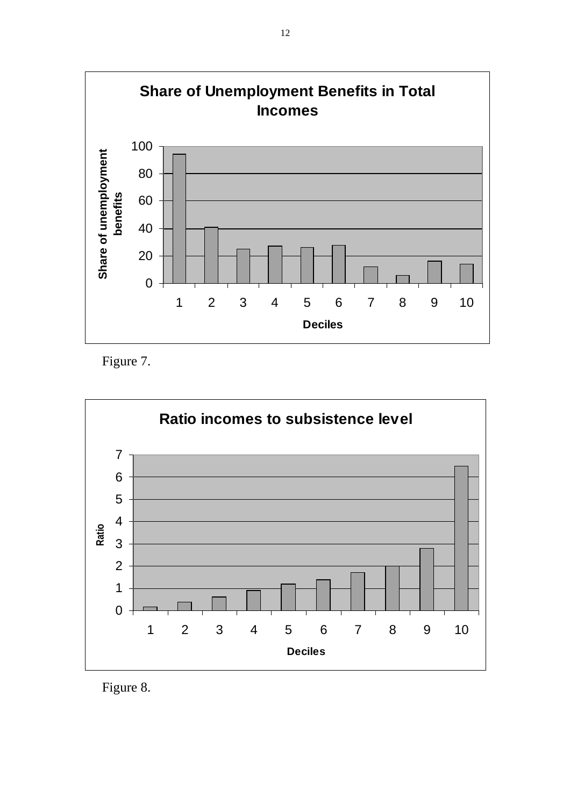

Figure 7.



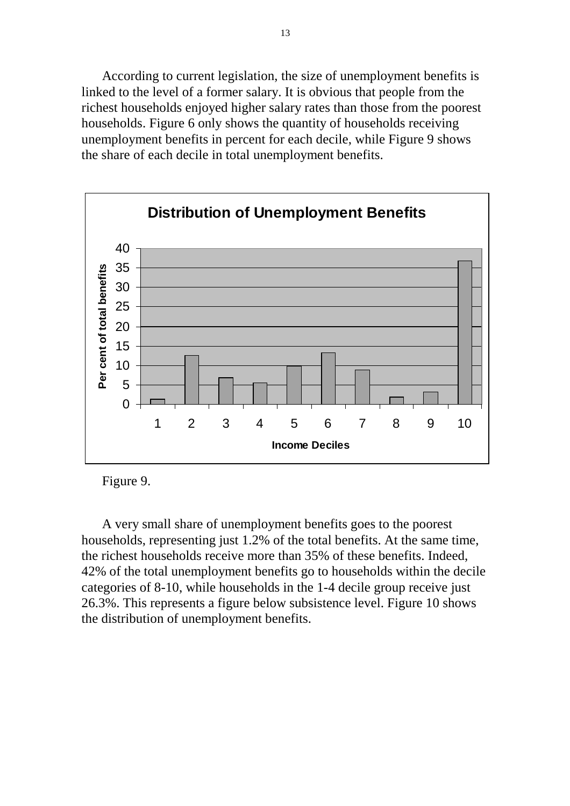According to current legislation, the size of unemployment benefits is linked to the level of a former salary. It is obvious that people from the richest households enjoyed higher salary rates than those from the poorest households. Figure 6 only shows the quantity of households receiving unemployment benefits in percent for each decile, while Figure 9 shows the share of each decile in total unemployment benefits.



Figure 9.

A very small share of unemployment benefits goes to the poorest households, representing just 1.2% of the total benefits. At the same time, the richest households receive more than 35% of these benefits. Indeed, 42% of the total unemployment benefits go to households within the decile categories of 8-10, while households in the 1-4 decile group receive just 26.3%. This represents a figure below subsistence level. Figure 10 shows the distribution of unemployment benefits.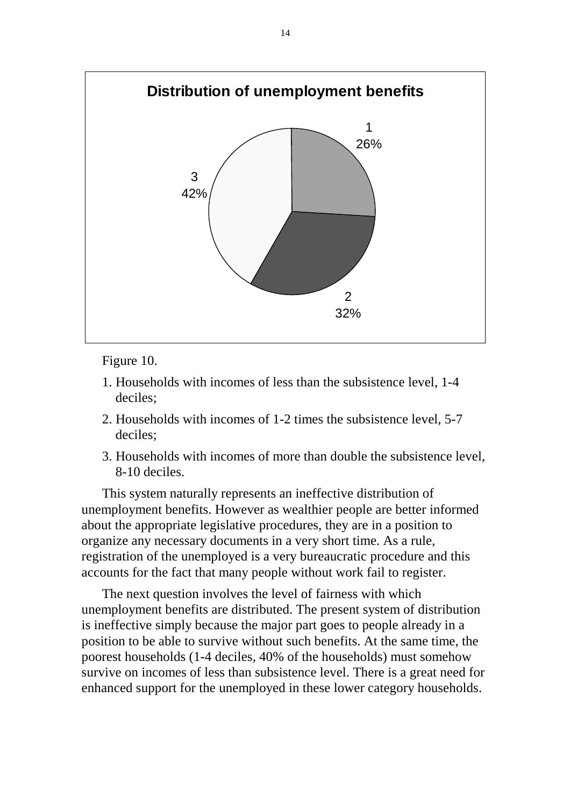

Figure 10.

- 1. Households with incomes of less than the subsistence level, 1-4 deciles;
- 2. Households with incomes of 1-2 times the subsistence level, 5-7 deciles;
- 3. Households with incomes of more than double the subsistence level, 8-10 deciles.

This system naturally represents an ineffective distribution of unemployment benefits. However as wealthier people are better informed about the appropriate legislative procedures, they are in a position to organize any necessary documents in a very short time. As a rule, registration of the unemployed is a very bureaucratic procedure and this accounts for the fact that many people without work fail to register.

The next question involves the level of fairness with which unemployment benefits are distributed. The present system of distribution is ineffective simply because the major part goes to people already in a position to be able to survive without such benefits. At the same time, the poorest households (1-4 deciles, 40% of the households) must somehow survive on incomes of less than subsistence level. There is a great need for enhanced support for the unemployed in these lower category households.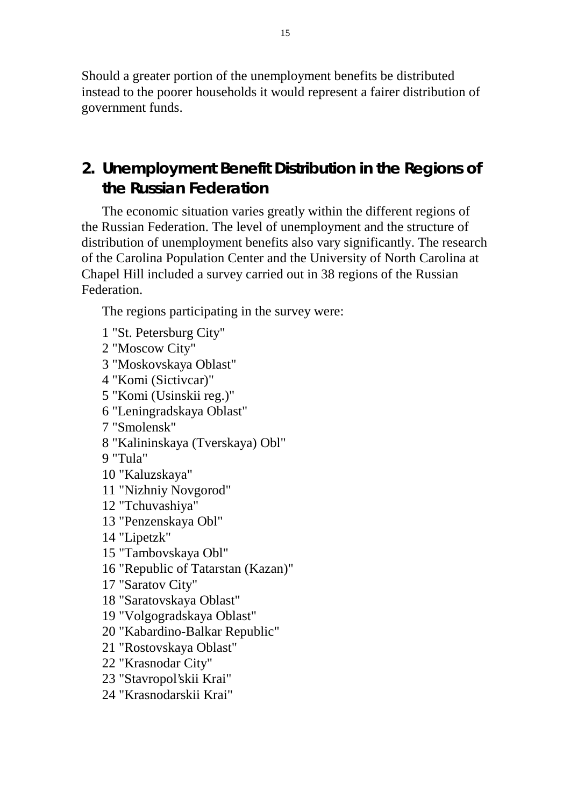Should a greater portion of the unemployment benefits be distributed instead to the poorer households it would represent a fairer distribution of government funds.

## **2. Unemployment Benefit Distribution in the Regions of the Russian Federation**

The economic situation varies greatly within the different regions of the Russian Federation. The level of unemployment and the structure of distribution of unemployment benefits also vary significantly. The research of the Carolina Population Center and the University of North Carolina at Chapel Hill included a survey carried out in 38 regions of the Russian Federation.

The regions participating in the survey were:

- 1 "St. Petersburg City"
- 2 "Moscow City"
- 3 "Moskovskaya Oblast"
- 4 "Komi (Sictivcar)"
- 5 "Komi (Usinskii reg.)"
- 6 "Leningradskaya Oblast"
- 7 "Smolensk"
- 8 "Kalininskaya (Tverskaya) Obl"
- 9 "Tula"
- 10 "Kaluzskaya"
- 11 "Nizhniy Novgorod"
- 12 "Tchuvashiya"
- 13 "Penzenskaya Obl"
- 14 "Lipetzk"
- 15 "Tambovskaya Obl"
- 16 "Republic of Tatarstan (Kazan)"
- 17 "Saratov City"
- 18 "Saratovskaya Oblast"
- 19 "Volgogradskaya Oblast"
- 20 "Kabardino-Balkar Republic"
- 21 "Rostovskaya Oblast"
- 22 "Krasnodar City"
- 23 "Stavropol'skii Krai"
- 24 "Krasnodarskii Krai"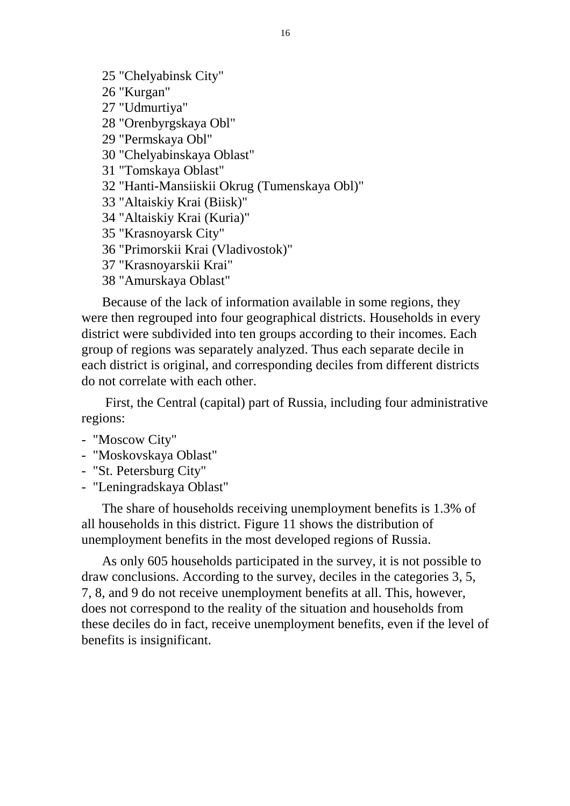25 "Chelyabinsk City"

26 "Kurgan"

27 "Udmurtiya"

28 "Orenbyrgskaya Obl"

29 "Permskaya Obl"

30 "Chelyabinskaya Oblast"

31 "Tomskaya Oblast"

32 "Hanti-Mansiiskii Okrug (Tumenskaya Obl)"

33 "Altaiskiy Krai (Biisk)"

34 "Altaiskiy Krai (Kuria)"

35 "Krasnoyarsk City"

36 "Primorskii Krai (Vladivostok)"

37 "Krasnoyarskii Krai"

38 "Amurskaya Oblast"

Because of the lack of information available in some regions, they were then regrouped into four geographical districts. Households in every district were subdivided into ten groups according to their incomes. Each group of regions was separately analyzed. Thus each separate decile in each district is original, and corresponding deciles from different districts do not correlate with each other.

 First, the Central (capital) part of Russia, including four administrative regions:

- "Moscow City"
- "Moskovskaya Oblast"
- "St. Petersburg City"
- "Leningradskaya Oblast"

The share of households receiving unemployment benefits is 1.3% of all households in this district. Figure 11 shows the distribution of unemployment benefits in the most developed regions of Russia.

As only 605 households participated in the survey, it is not possible to draw conclusions. According to the survey, deciles in the categories 3, 5, 7, 8, and 9 do not receive unemployment benefits at all. This, however, does not correspond to the reality of the situation and households from these deciles do in fact, receive unemployment benefits, even if the level of benefits is insignificant.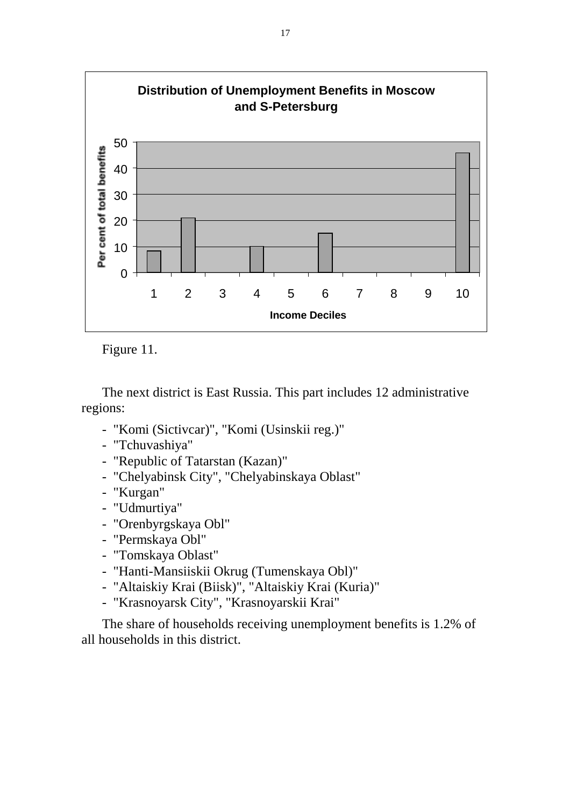

Figure 11.

The next district is East Russia. This part includes 12 administrative regions:

- "Komi (Sictivcar)", "Komi (Usinskii reg.)"
- "Tchuvashiya"
- "Republic of Tatarstan (Kazan)"
- "Chelyabinsk City", "Chelyabinskaya Oblast"
- "Kurgan"
- "Udmurtiya"
- "Orenbyrgskaya Obl"
- "Permskaya Obl"
- "Tomskaya Oblast"
- "Hanti-Mansiiskii Okrug (Tumenskaya Obl)"
- "Altaiskiy Krai (Biisk)", "Altaiskiy Krai (Kuria)"
- "Krasnoyarsk City", "Krasnoyarskii Krai"

The share of households receiving unemployment benefits is 1.2% of all households in this district.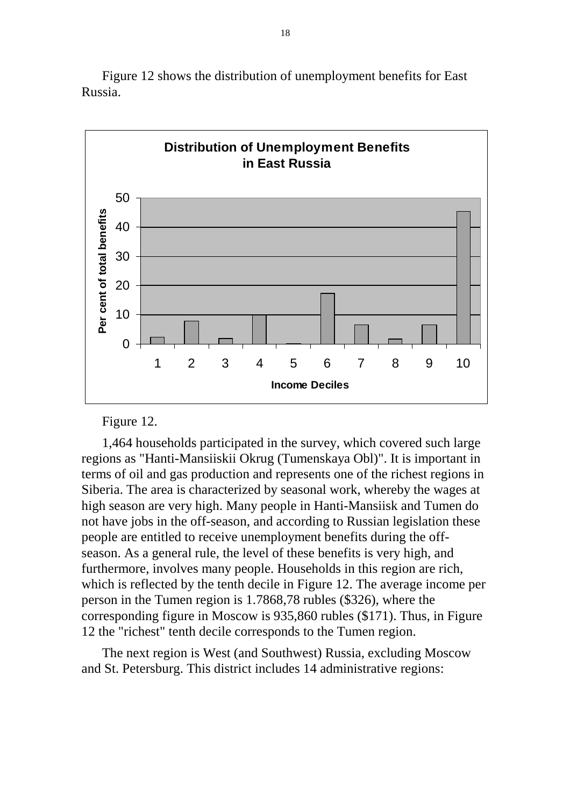

Figure 12 shows the distribution of unemployment benefits for East Russia.

#### Figure 12.

1,464 households participated in the survey, which covered such large regions as "Hanti-Mansiiskii Okrug (Tumenskaya Obl)". It is important in terms of oil and gas production and represents one of the richest regions in Siberia. The area is characterized by seasonal work, whereby the wages at high season are very high. Many people in Hanti-Mansiisk and Tumen do not have jobs in the off-season, and according to Russian legislation these people are entitled to receive unemployment benefits during the offseason. As a general rule, the level of these benefits is very high, and furthermore, involves many people. Households in this region are rich, which is reflected by the tenth decile in Figure 12. The average income per person in the Tumen region is 1.7868,78 rubles (\$326), where the corresponding figure in Moscow is 935,860 rubles (\$171). Thus, in Figure 12 the "richest" tenth decile corresponds to the Tumen region.

The next region is West (and Southwest) Russia, excluding Moscow and St. Petersburg. This district includes 14 administrative regions: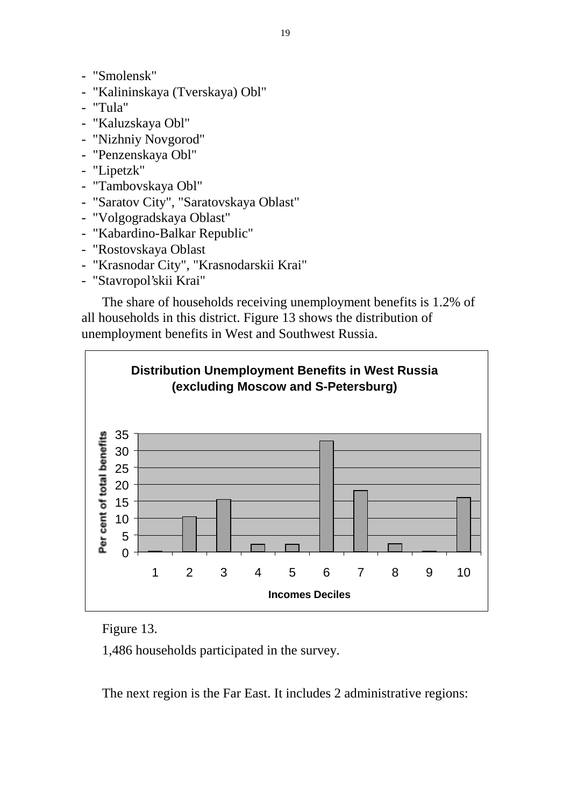- "Smolensk"
- "Kalininskaya (Tverskaya) Obl"
- "Tula"
- "Kaluzskaya Obl"
- "Nizhniy Novgorod"
- "Penzenskaya Obl"
- "Lipetzk"
- "Tambovskaya Obl"
- "Saratov City", "Saratovskaya Oblast"
- "Volgogradskaya Oblast"
- "Kabardino-Balkar Republic"
- "Rostovskaya Oblast
- "Krasnodar City", "Krasnodarskii Krai"
- "Stavropol'skii Krai"

The share of households receiving unemployment benefits is 1.2% of all households in this district. Figure 13 shows the distribution of unemployment benefits in West and Southwest Russia.



Figure 13.

1,486 households participated in the survey.

The next region is the Far East. It includes 2 administrative regions: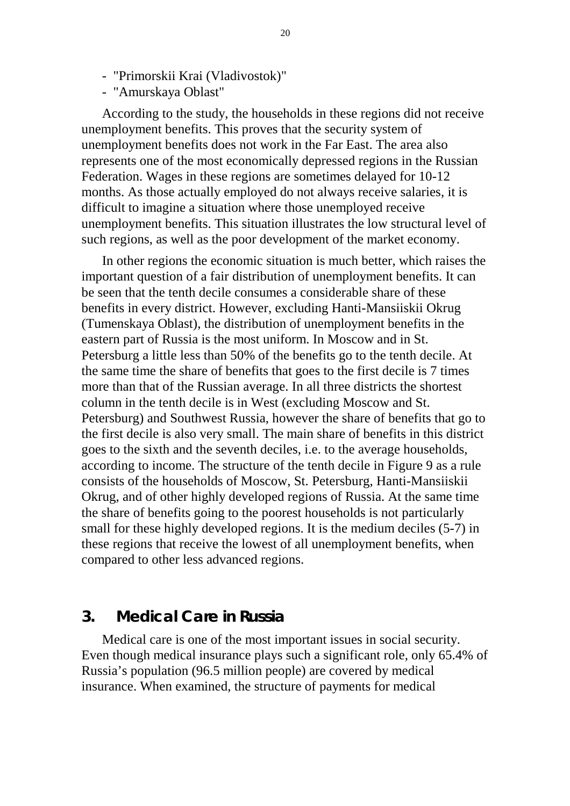- "Primorskii Krai (Vladivostok)"
- "Amurskaya Oblast"

According to the study, the households in these regions did not receive unemployment benefits. This proves that the security system of unemployment benefits does not work in the Far East. The area also represents one of the most economically depressed regions in the Russian Federation. Wages in these regions are sometimes delayed for 10-12 months. As those actually employed do not always receive salaries, it is difficult to imagine a situation where those unemployed receive unemployment benefits. This situation illustrates the low structural level of such regions, as well as the poor development of the market economy.

In other regions the economic situation is much better, which raises the important question of a fair distribution of unemployment benefits. It can be seen that the tenth decile consumes a considerable share of these benefits in every district. However, excluding Hanti-Mansiiskii Okrug (Tumenskaya Oblast), the distribution of unemployment benefits in the eastern part of Russia is the most uniform. In Moscow and in St. Petersburg a little less than 50% of the benefits go to the tenth decile. At the same time the share of benefits that goes to the first decile is 7 times more than that of the Russian average. In all three districts the shortest column in the tenth decile is in West (excluding Moscow and St. Petersburg) and Southwest Russia, however the share of benefits that go to the first decile is also very small. The main share of benefits in this district goes to the sixth and the seventh deciles, i.e. to the average households, according to income. The structure of the tenth decile in Figure 9 as a rule consists of the households of Moscow, St. Petersburg, Hanti-Mansiiskii Okrug, and of other highly developed regions of Russia. At the same time the share of benefits going to the poorest households is not particularly small for these highly developed regions. It is the medium deciles (5-7) in these regions that receive the lowest of all unemployment benefits, when compared to other less advanced regions.

#### **3. Medical Care in Russia**

Medical care is one of the most important issues in social security. Even though medical insurance plays such a significant role, only 65.4% of Russia's population (96.5 million people) are covered by medical insurance. When examined, the structure of payments for medical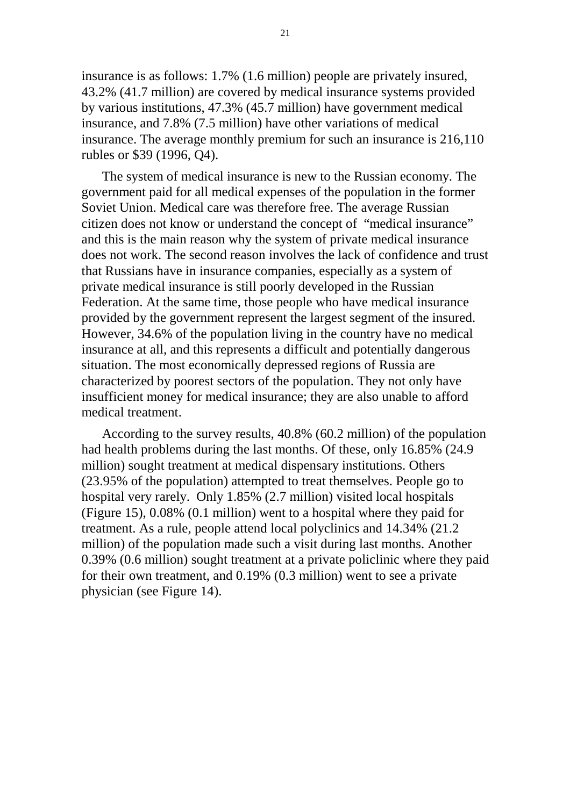insurance is as follows: 1.7% (1.6 million) people are privately insured, 43.2% (41.7 million) are covered by medical insurance systems provided by various institutions, 47.3% (45.7 million) have government medical insurance, and 7.8% (7.5 million) have other variations of medical insurance. The average monthly premium for such an insurance is 216,110 rubles or \$39 (1996, Q4).

The system of medical insurance is new to the Russian economy. The government paid for all medical expenses of the population in the former Soviet Union. Medical care was therefore free. The average Russian citizen does not know or understand the concept of "medical insurance" and this is the main reason why the system of private medical insurance does not work. The second reason involves the lack of confidence and trust that Russians have in insurance companies, especially as a system of private medical insurance is still poorly developed in the Russian Federation. At the same time, those people who have medical insurance provided by the government represent the largest segment of the insured. However, 34.6% of the population living in the country have no medical insurance at all, and this represents a difficult and potentially dangerous situation. The most economically depressed regions of Russia are characterized by poorest sectors of the population. They not only have insufficient money for medical insurance; they are also unable to afford medical treatment.

According to the survey results, 40.8% (60.2 million) of the population had health problems during the last months. Of these, only 16.85% (24.9 million) sought treatment at medical dispensary institutions. Others (23.95% of the population) attempted to treat themselves. People go to hospital very rarely. Only 1.85% (2.7 million) visited local hospitals (Figure 15), 0.08% (0.1 million) went to a hospital where they paid for treatment. As a rule, people attend local polyclinics and 14.34% (21.2 million) of the population made such a visit during last months. Another 0.39% (0.6 million) sought treatment at a private policlinic where they paid for their own treatment, and 0.19% (0.3 million) went to see a private physician (see Figure 14).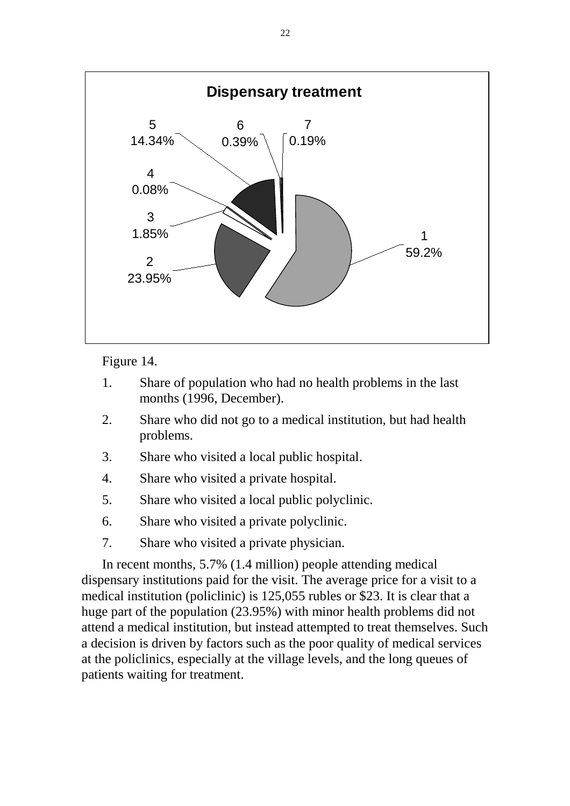

Figure 14.

- 1. Share of population who had no health problems in the last months (1996, December).
- 2. Share who did not go to a medical institution, but had health problems.
- 3. Share who visited a local public hospital.
- 4. Share who visited a private hospital.
- 5. Share who visited a local public polyclinic.
- 6. Share who visited a private polyclinic.
- 7. Share who visited a private physician.

In recent months, 5.7% (1.4 million) people attending medical dispensary institutions paid for the visit. The average price for a visit to a medical institution (policlinic) is 125,055 rubles or \$23. It is clear that a huge part of the population (23.95%) with minor health problems did not attend a medical institution, but instead attempted to treat themselves. Such a decision is driven by factors such as the poor quality of medical services at the policlinics, especially at the village levels, and the long queues of patients waiting for treatment.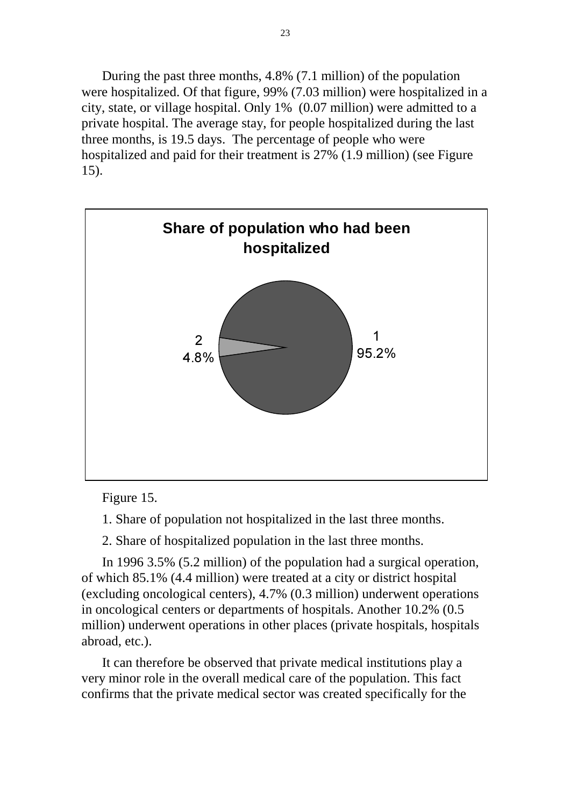During the past three months, 4.8% (7.1 million) of the population were hospitalized. Of that figure, 99% (7.03 million) were hospitalized in a city, state, or village hospital. Only 1% (0.07 million) were admitted to a private hospital. The average stay, for people hospitalized during the last three months, is 19.5 days. The percentage of people who were hospitalized and paid for their treatment is 27% (1.9 million) (see Figure 15).



Figure 15.

1. Share of population not hospitalized in the last three months.

2. Share of hospitalized population in the last three months.

In 1996 3.5% (5.2 million) of the population had a surgical operation, of which 85.1% (4.4 million) were treated at a city or district hospital (excluding oncological centers), 4.7% (0.3 million) underwent operations in oncological centers or departments of hospitals. Another 10.2% (0.5 million) underwent operations in other places (private hospitals, hospitals abroad, etc.).

It can therefore be observed that private medical institutions play a very minor role in the overall medical care of the population. This fact confirms that the private medical sector was created specifically for the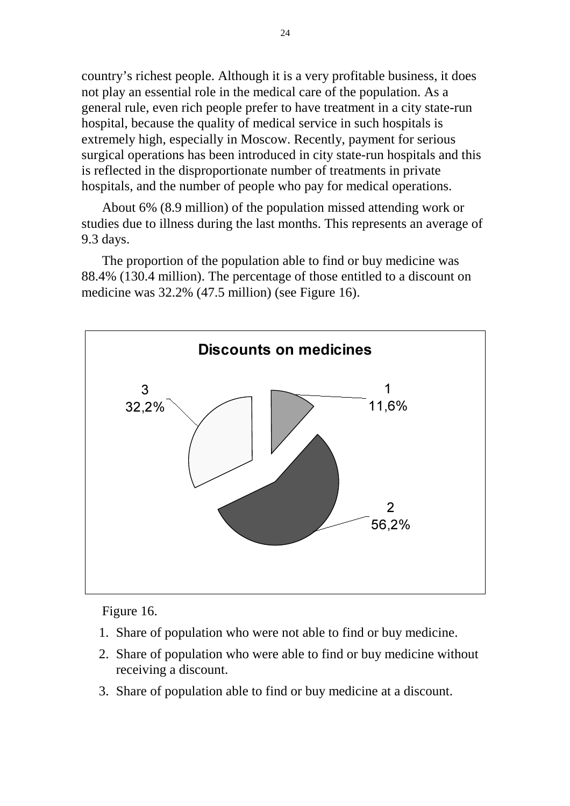country's richest people. Although it is a very profitable business, it does not play an essential role in the medical care of the population. As a general rule, even rich people prefer to have treatment in a city state-run hospital, because the quality of medical service in such hospitals is extremely high, especially in Moscow. Recently, payment for serious surgical operations has been introduced in city state-run hospitals and this is reflected in the disproportionate number of treatments in private hospitals, and the number of people who pay for medical operations.

About 6% (8.9 million) of the population missed attending work or studies due to illness during the last months. This represents an average of 9.3 days.

The proportion of the population able to find or buy medicine was 88.4% (130.4 million). The percentage of those entitled to a discount on medicine was 32.2% (47.5 million) (see Figure 16).



Figure 16.

- 1. Share of population who were not able to find or buy medicine.
- 2. Share of population who were able to find or buy medicine without receiving a discount.
- 3. Share of population able to find or buy medicine at a discount.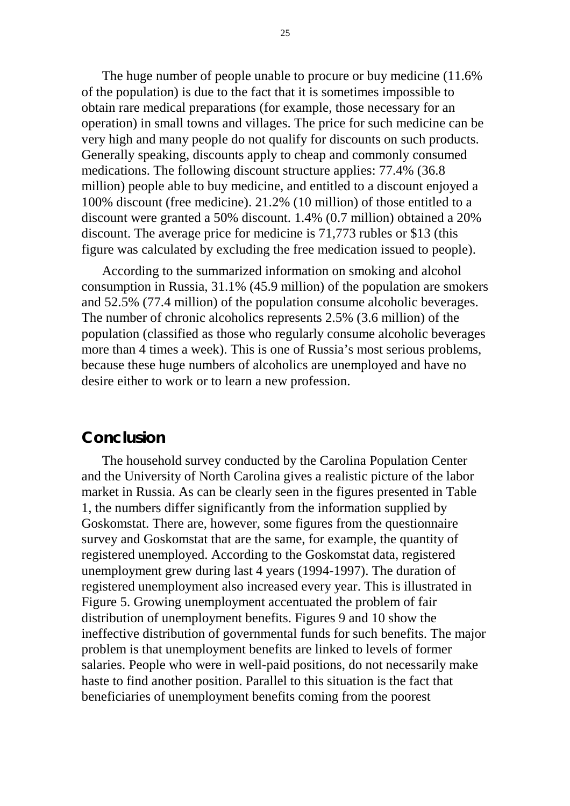The huge number of people unable to procure or buy medicine (11.6% of the population) is due to the fact that it is sometimes impossible to obtain rare medical preparations (for example, those necessary for an operation) in small towns and villages. The price for such medicine can be very high and many people do not qualify for discounts on such products. Generally speaking, discounts apply to cheap and commonly consumed medications. The following discount structure applies: 77.4% (36.8 million) people able to buy medicine, and entitled to a discount enjoyed a 100% discount (free medicine). 21.2% (10 million) of those entitled to a discount were granted a 50% discount. 1.4% (0.7 million) obtained a 20% discount. The average price for medicine is 71,773 rubles or \$13 (this figure was calculated by excluding the free medication issued to people).

According to the summarized information on smoking and alcohol consumption in Russia, 31.1% (45.9 million) of the population are smokers and 52.5% (77.4 million) of the population consume alcoholic beverages. The number of chronic alcoholics represents 2.5% (3.6 million) of the population (classified as those who regularly consume alcoholic beverages more than 4 times a week). This is one of Russia's most serious problems, because these huge numbers of alcoholics are unemployed and have no desire either to work or to learn a new profession.

#### **Conclusion**

The household survey conducted by the Carolina Population Center and the University of North Carolina gives a realistic picture of the labor market in Russia. As can be clearly seen in the figures presented in Table 1, the numbers differ significantly from the information supplied by Goskomstat. There are, however, some figures from the questionnaire survey and Goskomstat that are the same, for example, the quantity of registered unemployed. According to the Goskomstat data, registered unemployment grew during last 4 years (1994-1997). The duration of registered unemployment also increased every year. This is illustrated in Figure 5. Growing unemployment accentuated the problem of fair distribution of unemployment benefits. Figures 9 and 10 show the ineffective distribution of governmental funds for such benefits. The major problem is that unemployment benefits are linked to levels of former salaries. People who were in well-paid positions, do not necessarily make haste to find another position. Parallel to this situation is the fact that beneficiaries of unemployment benefits coming from the poorest